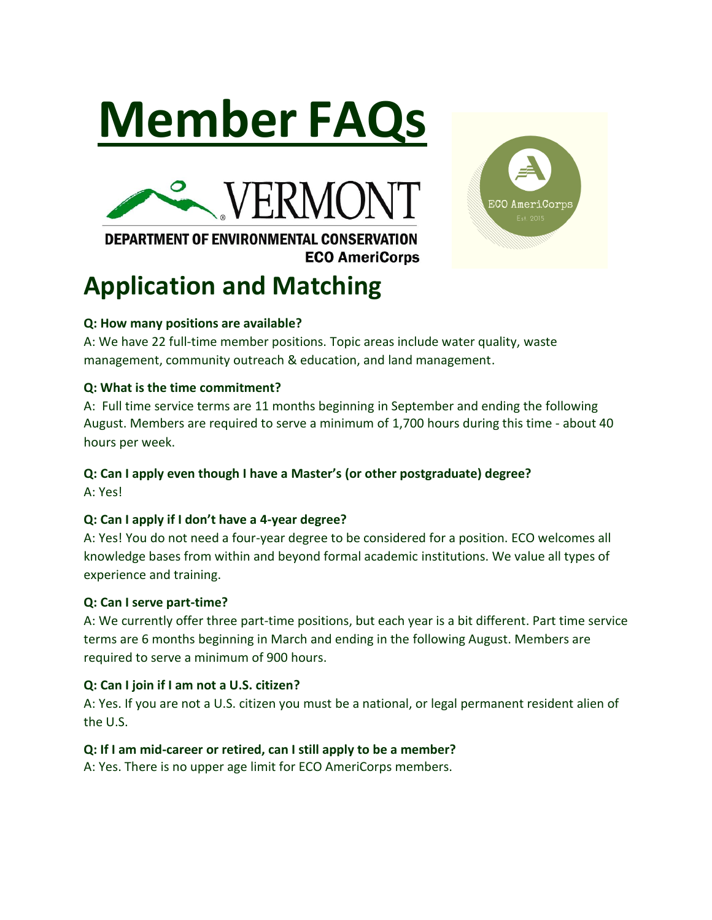



## **DEPARTMENT OF ENVIRONMENTAL CONSERVATION ECO AmeriCorps**

# **Application and Matching**



A: We have 22 full-time member positions. Topic areas include water quality, waste management, community outreach & education, and land management.

## **Q: What is the time commitment?**

A: Full time service terms are 11 months beginning in September and ending the following August. Members are required to serve a minimum of 1,700 hours during this time - about 40 hours per week.

## **Q: Can I apply even though I have a Master's (or other postgraduate) degree?**

A: Yes!

## **Q: Can I apply if I don't have a 4-year degree?**

A: Yes! You do not need a four-year degree to be considered for a position. ECO welcomes all knowledge bases from within and beyond formal academic institutions. We value all types of experience and training.

## **Q: Can I serve part-time?**

A: We currently offer three part-time positions, but each year is a bit different. Part time service terms are 6 months beginning in March and ending in the following August. Members are required to serve a minimum of 900 hours.

## **Q: Can I join if I am not a U.S. citizen?**

A: Yes. If you are not a U.S. citizen you must be a national, or legal permanent resident alien of the U.S.

## **Q: If I am mid-career or retired, can I still apply to be a member?**

A: Yes. There is no upper age limit for ECO AmeriCorps members.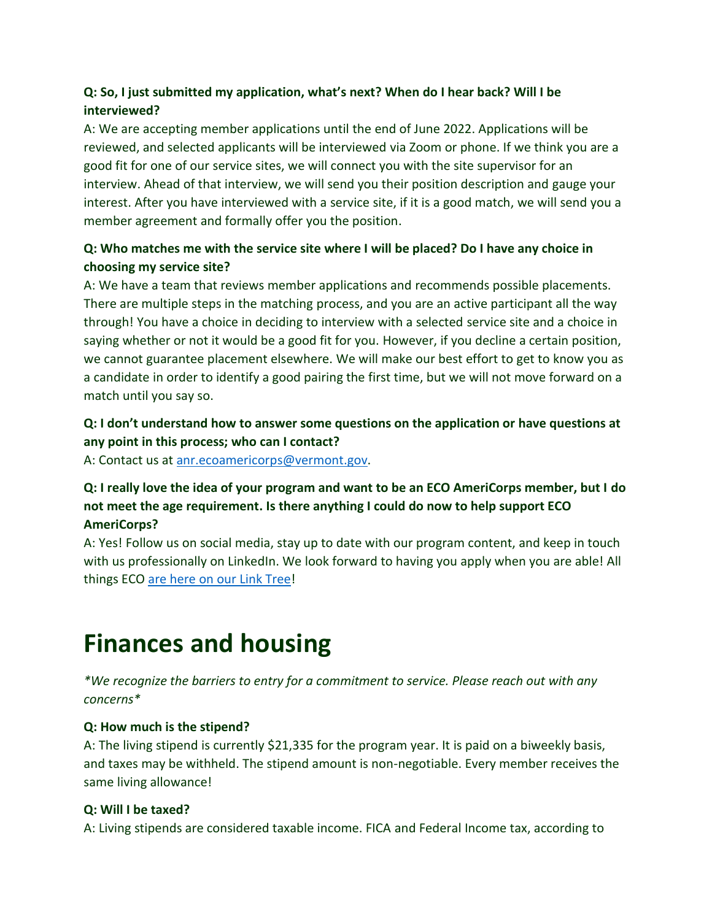## **Q: So, I just submitted my application, what's next? When do I hear back? Will I be interviewed?**

A: We are accepting member applications until the end of June 2022. Applications will be reviewed, and selected applicants will be interviewed via Zoom or phone. If we think you are a good fit for one of our service sites, we will connect you with the site supervisor for an interview. Ahead of that interview, we will send you their position description and gauge your interest. After you have interviewed with a service site, if it is a good match, we will send you a member agreement and formally offer you the position.

## **Q: Who matches me with the service site where I will be placed? Do I have any choice in choosing my service site?**

A: We have a team that reviews member applications and recommends possible placements. There are multiple steps in the matching process, and you are an active participant all the way through! You have a choice in deciding to interview with a selected service site and a choice in saying whether or not it would be a good fit for you. However, if you decline a certain position, we cannot guarantee placement elsewhere. We will make our best effort to get to know you as a candidate in order to identify a good pairing the first time, but we will not move forward on a match until you say so.

## **Q: I don't understand how to answer some questions on the application or have questions at any point in this process; who can I contact?**

A: Contact us at [anr.ecoamericorps@vermont.gov.](mailto:anr.ecoamericorps@vermont.gov)

## **Q: I really love the idea of your program and want to be an ECO AmeriCorps member, but I do not meet the age requirement. Is there anything I could do now to help support ECO AmeriCorps?**

A: Yes! Follow us on social media, stay up to date with our program content, and keep in touch with us professionally on LinkedIn. We look forward to having you apply when you are able! All things ECO [are here on our Link Tree!](https://linktr.ee/eco_teamleader)

# **Finances and housing**

*\*We recognize the barriers to entry for a commitment to service. Please reach out with any concerns\** 

#### **Q: How much is the stipend?**

A: The living stipend is currently \$21,335 for the program year. It is paid on a biweekly basis, and taxes may be withheld. The stipend amount is non-negotiable. Every member receives the same living allowance!

## **Q: Will I be taxed?**

A: Living stipends are considered taxable income. FICA and Federal Income tax, according to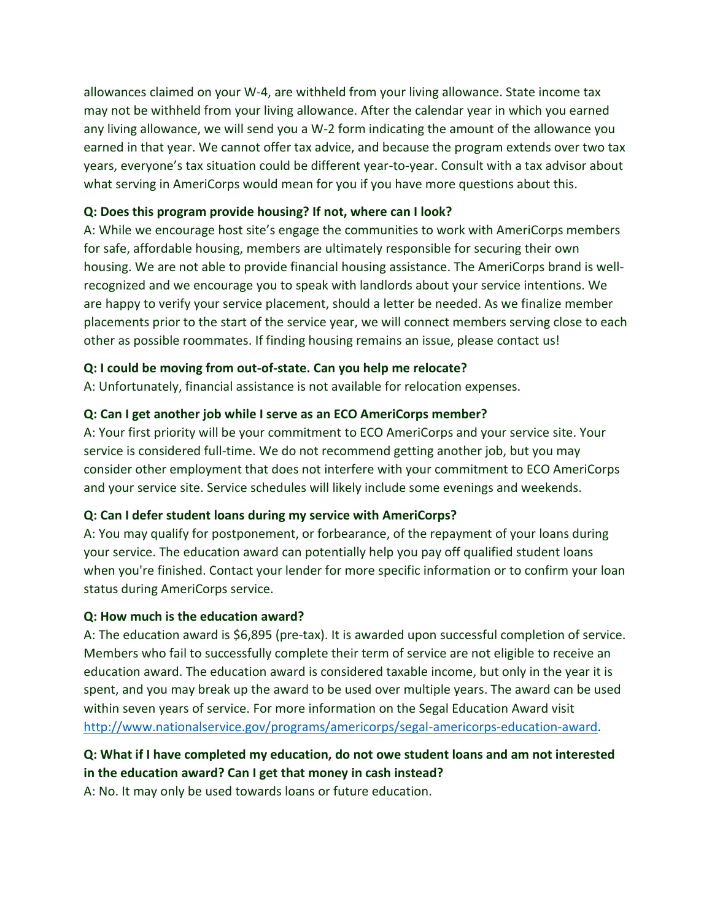allowances claimed on your W-4, are withheld from your living allowance. State income tax may not be withheld from your living allowance. After the calendar year in which you earned any living allowance, we will send you a W-2 form indicating the amount of the allowance you earned in that year. We cannot offer tax advice, and because the program extends over two tax years, everyone's tax situation could be different year-to-year. Consult with a tax advisor about what serving in AmeriCorps would mean for you if you have more questions about this.

#### **Q: Does this program provide housing? If not, where can I look?**

A: While we encourage host site's engage the communities to work with AmeriCorps members for safe, affordable housing, members are ultimately responsible for securing their own housing. We are not able to provide financial housing assistance. The AmeriCorps brand is wellrecognized and we encourage you to speak with landlords about your service intentions. We are happy to verify your service placement, should a letter be needed. As we finalize member placements prior to the start of the service year, we will connect members serving close to each other as possible roommates. If finding housing remains an issue, please contact us!

#### **Q: I could be moving from out-of-state. Can you help me relocate?**

A: Unfortunately, financial assistance is not available for relocation expenses.

#### **Q: Can I get another job while I serve as an ECO AmeriCorps member?**

A: Your first priority will be your commitment to ECO AmeriCorps and your service site. Your service is considered full-time. We do not recommend getting another job, but you may consider other employment that does not interfere with your commitment to ECO AmeriCorps and your service site. Service schedules will likely include some evenings and weekends.

#### **Q: Can I defer student loans during my service with AmeriCorps?**

A: You may qualify for postponement, or forbearance, of the repayment of your loans during your service. The education award can potentially help you pay off qualified student loans when you're finished. Contact your lender for more specific information or to confirm your loan status during AmeriCorps service.

#### **Q: How much is the education award?**

A: The education award is \$6,895 (pre-tax). It is awarded upon successful completion of service. Members who fail to successfully complete their term of service are not eligible to receive an education award. The education award is considered taxable income, but only in the year it is spent, and you may break up the award to be used over multiple years. The award can be used within seven years of service. For more information on the Segal Education Award visit [http://www.nationalservice.gov/programs/americorps/segal-americorps-education-award.](http://www.nationalservice.gov/programs/americorps/segal-americorps-education-award)

## **Q: What if I have completed my education, do not owe student loans and am not interested in the education award? Can I get that money in cash instead?**

A: No. It may only be used towards loans or future education.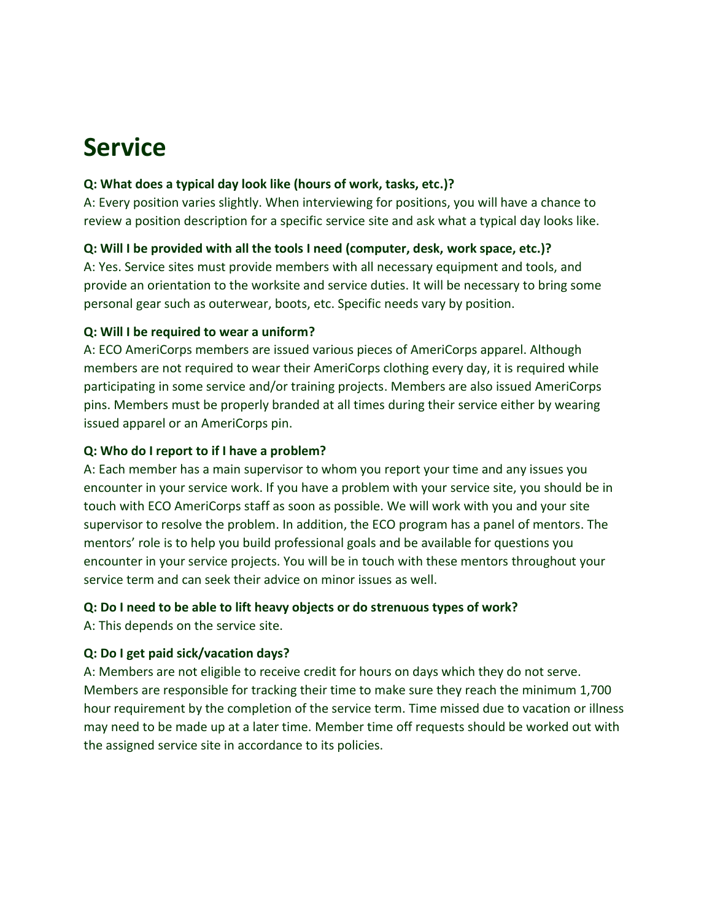## **Service**

#### **Q: What does a typical day look like (hours of work, tasks, etc.)?**

A: Every position varies slightly. When interviewing for positions, you will have a chance to review a position description for a specific service site and ask what a typical day looks like.

#### **Q: Will I be provided with all the tools I need (computer, desk, work space, etc.)?**

A: Yes. Service sites must provide members with all necessary equipment and tools, and provide an orientation to the worksite and service duties. It will be necessary to bring some personal gear such as outerwear, boots, etc. Specific needs vary by position.

#### **Q: Will I be required to wear a uniform?**

A: ECO AmeriCorps members are issued various pieces of AmeriCorps apparel. Although members are not required to wear their AmeriCorps clothing every day, it is required while participating in some service and/or training projects. Members are also issued AmeriCorps pins. Members must be properly branded at all times during their service either by wearing issued apparel or an AmeriCorps pin.

#### **Q: Who do I report to if I have a problem?**

A: Each member has a main supervisor to whom you report your time and any issues you encounter in your service work. If you have a problem with your service site, you should be in touch with ECO AmeriCorps staff as soon as possible. We will work with you and your site supervisor to resolve the problem. In addition, the ECO program has a panel of mentors. The mentors' role is to help you build professional goals and be available for questions you encounter in your service projects. You will be in touch with these mentors throughout your service term and can seek their advice on minor issues as well.

#### **Q: Do I need to be able to lift heavy objects or do strenuous types of work?**

A: This depends on the service site.

#### **Q: Do I get paid sick/vacation days?**

A: Members are not eligible to receive credit for hours on days which they do not serve. Members are responsible for tracking their time to make sure they reach the minimum 1,700 hour requirement by the completion of the service term. Time missed due to vacation or illness may need to be made up at a later time. Member time off requests should be worked out with the assigned service site in accordance to its policies.